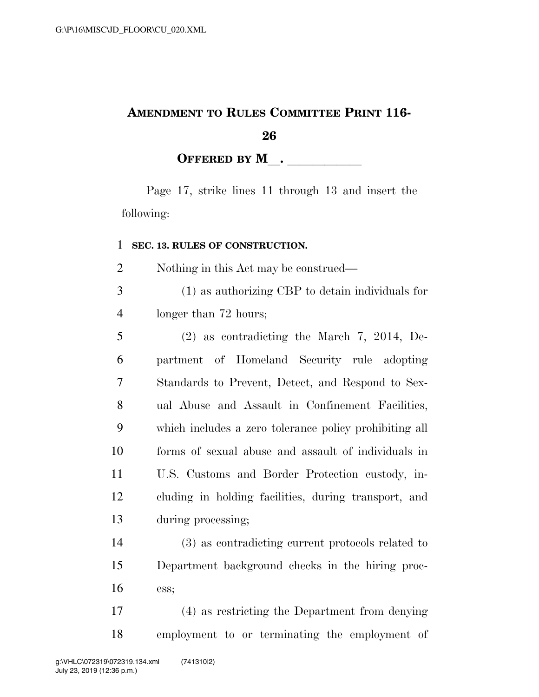## **AMENDMENT TO RULES COMMITTEE PRINT 116-**

**OFFERED BY M**.

Page 17, strike lines 11 through 13 and insert the following:

## **SEC. 13. RULES OF CONSTRUCTION.**

Nothing in this Act may be construed—

 (1) as authorizing CBP to detain individuals for longer than 72 hours;

 (2) as contradicting the March 7, 2014, De- partment of Homeland Security rule adopting Standards to Prevent, Detect, and Respond to Sex- ual Abuse and Assault in Confinement Facilities, which includes a zero tolerance policy prohibiting all forms of sexual abuse and assault of individuals in U.S. Customs and Border Protection custody, in- cluding in holding facilities, during transport, and during processing;

 (3) as contradicting current protocols related to Department background checks in the hiring proc-ess;

 (4) as restricting the Department from denying employment to or terminating the employment of